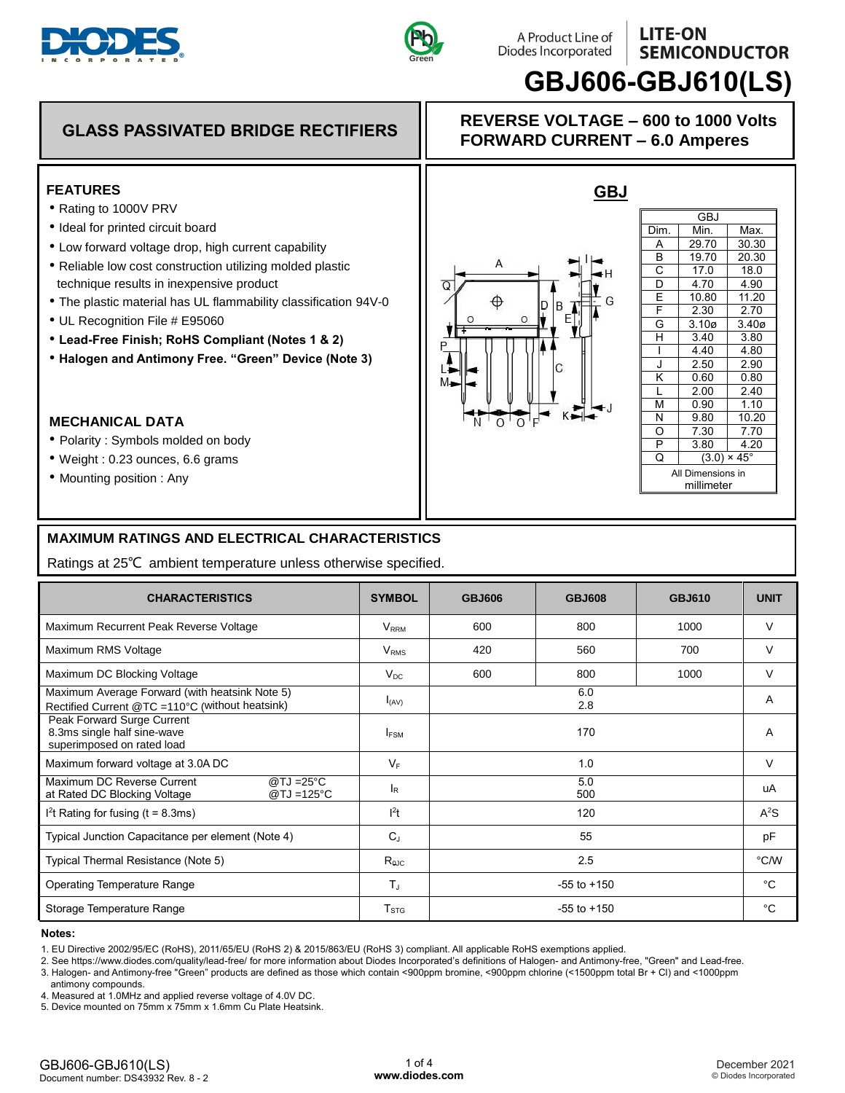





# **LITE-ON**

## **GBJ606-GBJ610(LS)**

## **GLASS PASSIVATED BRIDGE RECTIFIERS REVERSE VOLTAGE – 600 to 1000 Volts**

#### **FEATURES**

- Rating to 1000V PRV
- Ideal for printed circuit board
- Low forward voltage drop, high current capability
- Reliable low cost construction utilizing molded plastic technique results in inexpensive product
- The plastic material has UL flammability classification 94V-0
- UL Recognition File # E95060
- **Lead-Free Finish; RoHS Compliant (Notes 1 & 2)**
- **Halogen and Antimony Free. "Green" Device (Note 3)**

#### **MECHANICAL DATA**

- Polarity : Symbols molded on body
- Weight : 0.23 ounces, 6.6 grams
- Mounting position : Any

#### **MAXIMUM RATINGS AND ELECTRICAL CHARACTERISTICS**

|                                                                                                                                                                                                                                                                                                                                                                                                                                                                                                                                                                                                                                       | Green                                                                              |                                                                                                                                                                                                                                                                                                                                                                                       |               | JLIVIILVIVUL<br><b>GBJ606-GBJ610(LS)</b> |                                                                                                                                                       |  |  |
|---------------------------------------------------------------------------------------------------------------------------------------------------------------------------------------------------------------------------------------------------------------------------------------------------------------------------------------------------------------------------------------------------------------------------------------------------------------------------------------------------------------------------------------------------------------------------------------------------------------------------------------|------------------------------------------------------------------------------------|---------------------------------------------------------------------------------------------------------------------------------------------------------------------------------------------------------------------------------------------------------------------------------------------------------------------------------------------------------------------------------------|---------------|------------------------------------------|-------------------------------------------------------------------------------------------------------------------------------------------------------|--|--|
| <b>GLASS PASSIVATED BRIDGE RECTIFIERS</b>                                                                                                                                                                                                                                                                                                                                                                                                                                                                                                                                                                                             | <b>REVERSE VOLTAGE - 600 to 1000 Volts</b><br><b>FORWARD CURRENT - 6.0 Amperes</b> |                                                                                                                                                                                                                                                                                                                                                                                       |               |                                          |                                                                                                                                                       |  |  |
| <b>FEATURES</b><br>• Rating to 1000V PRV<br>· Ideal for printed circuit board<br>• Low forward voltage drop, high current capability<br>• Reliable low cost construction utilizing molded plastic<br>technique results in inexpensive product<br>. The plastic material has UL flammability classification 94V-0<br>• UL Recognition File # E95060<br>• Lead-Free Finish; RoHS Compliant (Notes 1 & 2)<br>• Halogen and Antimony Free. "Green" Device (Note 3)<br><b>MECHANICAL DATA</b><br>• Polarity: Symbols molded on body<br>• Weight: 0.23 ounces, 6.6 grams<br>• Mounting position: Any                                        |                                                                                    | <u>GBJ</u><br><b>GBJ</b><br>Min.<br>Dim.<br>29.70<br>Α<br>B<br>19.70<br>C<br>17.0<br>4.70<br>D<br>Q<br>E<br>10.80<br>В<br>F<br>2.30<br>Е<br>G<br>3.10 <sub>Ø</sub><br>Н<br>3.40<br>4.40<br>2.50<br>J<br>ĸ<br>0.60<br>MÐ<br>2.00<br>L<br>0.90<br>М<br>9.80<br>N<br>$01$ $01$ $F$<br>N '<br>Ο<br>7.30<br>P<br>3.80<br>Q<br>$(3.0) \times 45^{\circ}$<br>All Dimensions in<br>millimeter |               |                                          | Max.<br>30.30<br>20.30<br>18.0<br>4.90<br>11.20<br>2.70<br>3.40 <sub>Ø</sub><br>3.80<br>4.80<br>2.90<br>0.80<br>2.40<br>1.10<br>10.20<br>7.70<br>4.20 |  |  |
| <b>MAXIMUM RATINGS AND ELECTRICAL CHARACTERISTICS</b><br>Ratings at 25°C ambient temperature unless otherwise specified.                                                                                                                                                                                                                                                                                                                                                                                                                                                                                                              |                                                                                    |                                                                                                                                                                                                                                                                                                                                                                                       |               |                                          |                                                                                                                                                       |  |  |
| <b>CHARACTERISTICS</b>                                                                                                                                                                                                                                                                                                                                                                                                                                                                                                                                                                                                                | <b>SYMBOL</b>                                                                      | <b>GBJ606</b>                                                                                                                                                                                                                                                                                                                                                                         | <b>GBJ608</b> | <b>GBJ610</b>                            | <b>UNIT</b>                                                                                                                                           |  |  |
| Maximum Recurrent Peak Reverse Voltage                                                                                                                                                                                                                                                                                                                                                                                                                                                                                                                                                                                                | <b>V</b> <sub>RRM</sub>                                                            | 600                                                                                                                                                                                                                                                                                                                                                                                   | 800           | 1000                                     | V                                                                                                                                                     |  |  |
| Maximum RMS Voltage                                                                                                                                                                                                                                                                                                                                                                                                                                                                                                                                                                                                                   | V <sub>RMS</sub>                                                                   | 420                                                                                                                                                                                                                                                                                                                                                                                   | 560           | 700                                      | V                                                                                                                                                     |  |  |
| Maximum DC Blocking Voltage                                                                                                                                                                                                                                                                                                                                                                                                                                                                                                                                                                                                           | $V_{DC}$                                                                           | 600                                                                                                                                                                                                                                                                                                                                                                                   | 800           | 1000                                     | $\mathcal{U}$                                                                                                                                         |  |  |
| Maximum Average Forward (with heatsink Note 5)<br>Rectified Current @TC =110°C (without heatsink)                                                                                                                                                                                                                                                                                                                                                                                                                                                                                                                                     | $I_{(AV)}$                                                                         |                                                                                                                                                                                                                                                                                                                                                                                       | 6.0<br>2.8    |                                          | A                                                                                                                                                     |  |  |
| Peak Forward Surge Current<br>8.3ms single half sine-wave<br>superimposed on rated load                                                                                                                                                                                                                                                                                                                                                                                                                                                                                                                                               | <b>IFSM</b>                                                                        | 170<br>Α                                                                                                                                                                                                                                                                                                                                                                              |               |                                          |                                                                                                                                                       |  |  |
| Maximum forward voltage at 3.0A DC                                                                                                                                                                                                                                                                                                                                                                                                                                                                                                                                                                                                    | $V_F$                                                                              | V<br>1.0                                                                                                                                                                                                                                                                                                                                                                              |               |                                          |                                                                                                                                                       |  |  |
| @TJ =25°C<br>Maximum DC Reverse Current<br>$@TJ = 125°C$<br>at Rated DC Blocking Voltage                                                                                                                                                                                                                                                                                                                                                                                                                                                                                                                                              | l <sub>R</sub>                                                                     | 5.0<br>uA<br>500                                                                                                                                                                                                                                                                                                                                                                      |               |                                          |                                                                                                                                                       |  |  |
| $12t$ Rating for fusing (t = 8.3ms)                                                                                                                                                                                                                                                                                                                                                                                                                                                                                                                                                                                                   | $l^2t$                                                                             | 120<br>$A^2S$                                                                                                                                                                                                                                                                                                                                                                         |               |                                          |                                                                                                                                                       |  |  |
| Typical Junction Capacitance per element (Note 4)                                                                                                                                                                                                                                                                                                                                                                                                                                                                                                                                                                                     | $C_J$                                                                              | 55<br>рF                                                                                                                                                                                                                                                                                                                                                                              |               |                                          |                                                                                                                                                       |  |  |
| Typical Thermal Resistance (Note 5)                                                                                                                                                                                                                                                                                                                                                                                                                                                                                                                                                                                                   | R <sub>ojc</sub>                                                                   | 2.5                                                                                                                                                                                                                                                                                                                                                                                   |               |                                          | °C/W                                                                                                                                                  |  |  |
| <b>Operating Temperature Range</b>                                                                                                                                                                                                                                                                                                                                                                                                                                                                                                                                                                                                    | $T_{J}$                                                                            | $-55$ to $+150$                                                                                                                                                                                                                                                                                                                                                                       |               |                                          | °C                                                                                                                                                    |  |  |
| Storage Temperature Range                                                                                                                                                                                                                                                                                                                                                                                                                                                                                                                                                                                                             | T <sub>STG</sub>                                                                   | $-55$ to $+150$                                                                                                                                                                                                                                                                                                                                                                       |               | °C                                       |                                                                                                                                                       |  |  |
| Notes:<br>1. EU Directive 2002/95/EC (RoHS), 2011/65/EU (RoHS 2) & 2015/863/EU (RoHS 3) compliant. All applicable RoHS exemptions applied.<br>2. See https://www.diodes.com/quality/lead-free/ for more information about Diodes Incorporated's definitions of Halogen- and Antimony-free, "Green" and Lead-free.<br>3. Halogen- and Antimony-free "Green" products are defined as those which contain <900ppm bromine, <900ppm chlorine (<1500ppm total Br + Cl) and <1000ppm<br>antimony compounds.<br>4. Measured at 1.0MHz and applied reverse voltage of 4.0V DC.<br>5. Device mounted on 75mm x 75mm x 1.6mm Cu Plate Heatsink. |                                                                                    |                                                                                                                                                                                                                                                                                                                                                                                       |               |                                          |                                                                                                                                                       |  |  |

#### **Notes:**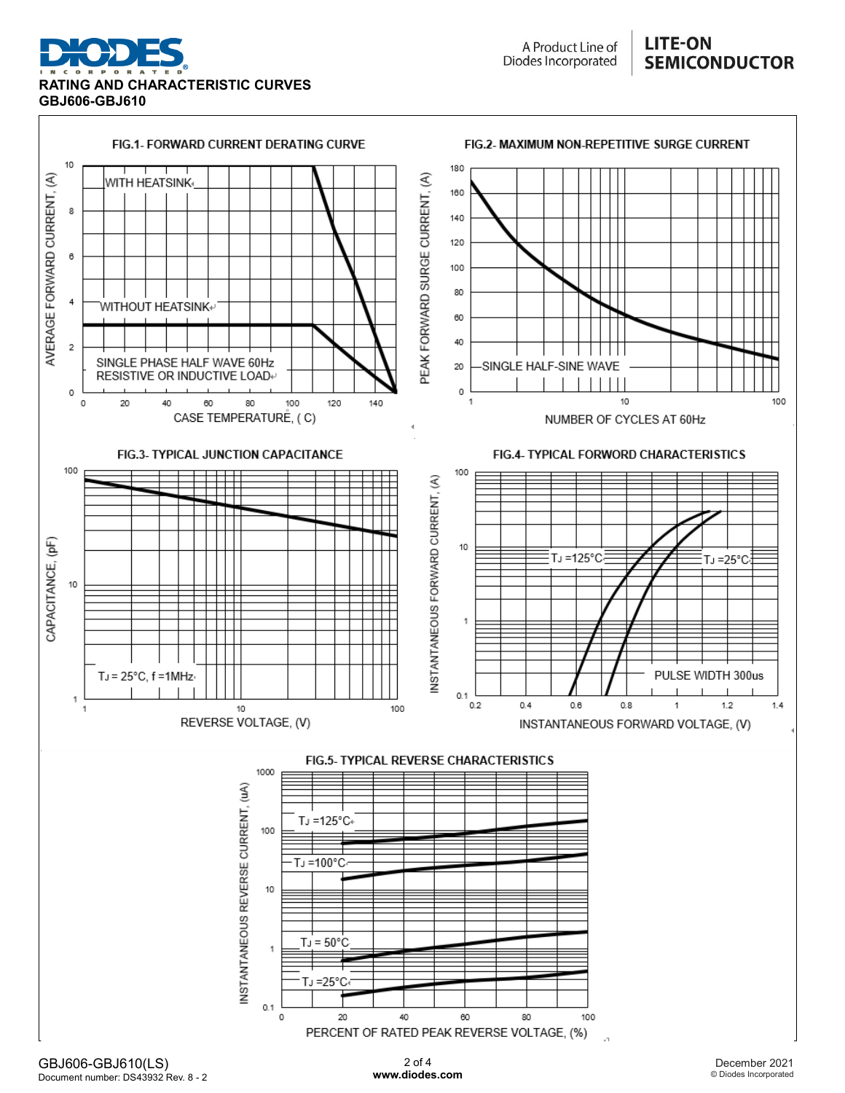



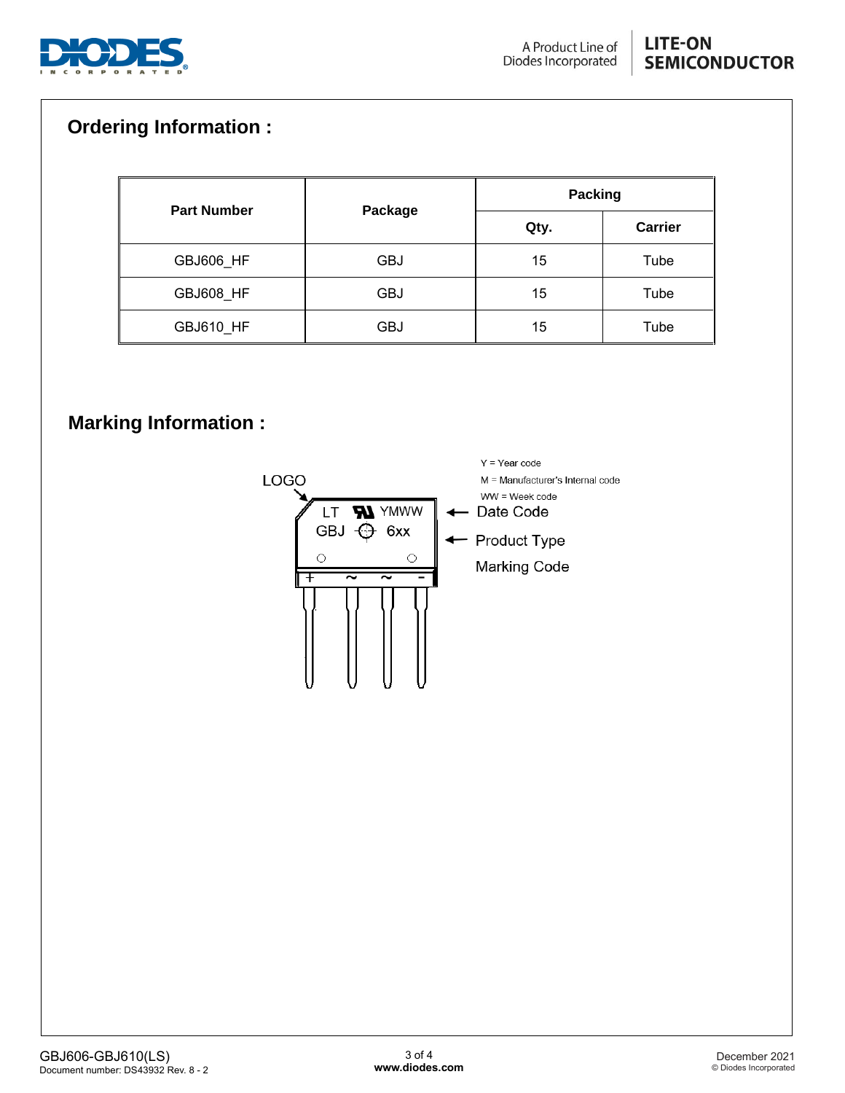

## **Ordering Information :**

|                    |            | <b>Packing</b> |                |  |
|--------------------|------------|----------------|----------------|--|
| <b>Part Number</b> | Package    | Qty.           | <b>Carrier</b> |  |
| GBJ606_HF          | GBJ        | 15             | Tube           |  |
| GBJ608_HF          | <b>GBJ</b> | 15             | Tube           |  |
| GBJ610 HF          | GBJ        | 15             | Tube           |  |

### **Marking Information :**